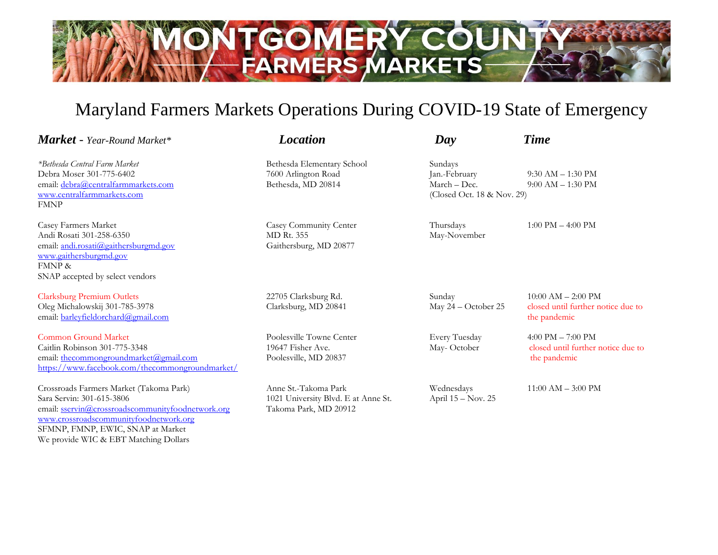

## Maryland Farmers Markets Operations During COVID-19 State of Emergency

| <b>Market</b> - Year-Round Market*                                                                                                                                                                                                                | <b>Location</b>                                                                      | Day                                                                    | <b>Time</b>                                                                               |
|---------------------------------------------------------------------------------------------------------------------------------------------------------------------------------------------------------------------------------------------------|--------------------------------------------------------------------------------------|------------------------------------------------------------------------|-------------------------------------------------------------------------------------------|
| <i>*Bethesda Central Farm Market</i><br>Debra Moser 301-775-6402<br>email: debra@centralfarmmarkets.com<br>www.centralfarmmarkets.com<br><b>FMNP</b>                                                                                              | Bethesda Elementary School<br>7600 Arlington Road<br>Bethesda, MD 20814              | Sundays<br>Jan.-February<br>March – Dec.<br>(Closed Oct. 18 & Nov. 29) | $9:30$ AM $- 1:30$ PM<br>$9:00$ AM $- 1:30$ PM                                            |
| Casey Farmers Market<br>Andi Rosati 301-258-6350<br>email: andi.rosati@gaithersburgmd.gov<br>www.gaithersburgmd.gov<br><b>FMNP &amp;</b><br>SNAP accepted by select vendors                                                                       | Casey Community Center<br><b>MD Rt. 355</b><br>Gaithersburg, MD 20877                | Thursdays<br>May-November                                              | $1:00 \text{ PM} - 4:00 \text{ PM}$                                                       |
| <b>Clarksburg Premium Outlets</b><br>Oleg Michalowskij 301-785-3978<br>email: barleyfieldorchard@gmail.com                                                                                                                                        | 22705 Clarksburg Rd.<br>Clarksburg, MD 20841                                         | Sunday<br>May 24 - October 25                                          | $10:00$ AM $- 2:00$ PM<br>closed until further notice due to<br>the pandemic              |
| <b>Common Ground Market</b><br>Caitlin Robinson 301-775-3348<br>email: thecommongroundmarket@gmail.com<br>https://www.facebook.com/thecommongroundmarket/                                                                                         | Poolesville Towne Center<br>19647 Fisher Ave.<br>Poolesville, MD 20837               | Every Tuesday<br>May-October                                           | $4:00 \text{ PM} - 7:00 \text{ PM}$<br>closed until further notice due to<br>the pandemic |
| Crossroads Farmers Market (Takoma Park)<br>Sara Servin: 301-615-3806<br>email: sservin@crossroadscommunityfoodnetwork.org<br>www.crossroadscommunityfoodnetwork.org<br>SFMNP, FMNP, EWIC, SNAP at Market<br>We provide WIC & EBT Matching Dollars | Anne St.-Takoma Park<br>1021 University Blvd. E at Anne St.<br>Takoma Park, MD 20912 | Wednesdays<br>April 15 - Nov. 25                                       | $11:00$ AM $-$ 3:00 PM                                                                    |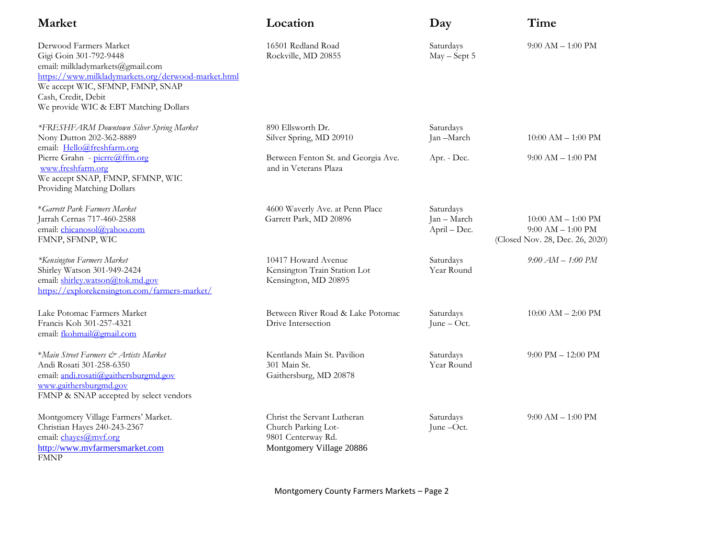| Market                                                                                                                                                                                                                                          | Location                                                                                             | Day                                      | Time                                                                              |
|-------------------------------------------------------------------------------------------------------------------------------------------------------------------------------------------------------------------------------------------------|------------------------------------------------------------------------------------------------------|------------------------------------------|-----------------------------------------------------------------------------------|
| Derwood Farmers Market<br>Gigi Goin 301-792-9448<br>email: milkladymarkets@gmail.com<br>https://www.milkladymarkets.org/derwood-market.html<br>We accept WIC, SFMNP, FMNP, SNAP<br>Cash, Credit, Debit<br>We provide WIC & EBT Matching Dollars | 16501 Redland Road<br>Rockville, MD 20855                                                            | Saturdays<br>May - Sept 5                | $9:00 AM - 1:00 PM$                                                               |
| *FRESHFARM Downtown Silver Spring Market<br>Nony Dutton 202-362-8889<br>email: Hello@freshfarm.org                                                                                                                                              | 890 Ellsworth Dr.<br>Silver Spring, MD 20910                                                         | Saturdays<br>Jan-March                   | $10:00$ AM $- 1:00$ PM                                                            |
| Pierre Grahn - pierre@ffm.org<br>www.freshfarm.org<br>We accept SNAP, FMNP, SFMNP, WIC<br>Providing Matching Dollars                                                                                                                            | Between Fenton St. and Georgia Ave.<br>and in Veterans Plaza                                         | Apr. - Dec.                              | $9:00$ AM $-1:00$ PM                                                              |
| *Garrett Park Farmers Market<br>Jarrah Cernas 717-460-2588<br>email: chicanosol@yahoo.com<br>FMNP, SFMNP, WIC                                                                                                                                   | 4600 Waverly Ave. at Penn Place<br>Garrett Park, MD 20896                                            | Saturdays<br>Jan - March<br>April - Dec. | $10:00$ AM $- 1:00$ PM<br>$9:00$ AM $-1:00$ PM<br>(Closed Nov. 28, Dec. 26, 2020) |
| *Kensington Farmers Market<br>Shirley Watson 301-949-2424<br>email: shirley.watson@tok.md.gov<br>https://explorekensington.com/farmers-market/                                                                                                  | 10417 Howard Avenue<br>Kensington Train Station Lot<br>Kensington, MD 20895                          | Saturdays<br>Year Round                  | $9:00 AM - 1:00 PM$                                                               |
| Lake Potomac Farmers Market<br>Francis Koh 301-257-4321<br>email: fkohmail@gmail.com                                                                                                                                                            | Between River Road & Lake Potomac<br>Drive Intersection                                              | Saturdays<br>June - Oct.                 | $10:00$ AM $- 2:00$ PM                                                            |
| *Main Street Farmers & Artists Market<br>Andi Rosati 301-258-6350<br>email: andi.rosati@gaithersburgmd.gov<br>www.gaithersburgmd.gov<br>FMNP & SNAP accepted by select vendors                                                                  | Kentlands Main St. Pavilion<br>301 Main St.<br>Gaithersburg, MD 20878                                | Saturdays<br>Year Round                  | $9:00$ PM $- 12:00$ PM                                                            |
| Montgomery Village Farmers' Market.<br>Christian Hayes 240-243-2367<br>email: chayes@mvf.org<br>http://www.mvfarmersmarket.com<br><b>FMNP</b>                                                                                                   | Christ the Servant Lutheran<br>Church Parking Lot-<br>9801 Centerway Rd.<br>Montgomery Village 20886 | Saturdays<br>June-Oct.                   | $9:00 AM - 1:00 PM$                                                               |

Montgomery County Farmers Markets – Page 2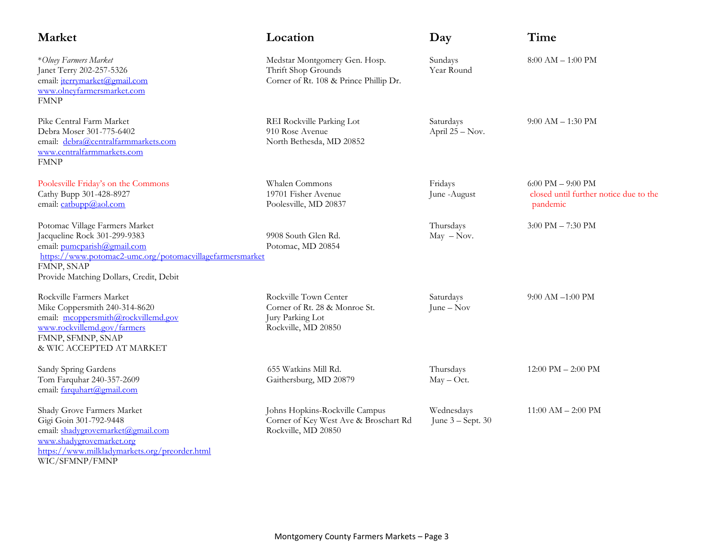| <b>Market</b>                                                                                                                                                                                                      | Location                                                                                          | Day                               | Time                                                                        |
|--------------------------------------------------------------------------------------------------------------------------------------------------------------------------------------------------------------------|---------------------------------------------------------------------------------------------------|-----------------------------------|-----------------------------------------------------------------------------|
| *Olney Farmers Market<br>Janet Terry 202-257-5326<br>email: jterrymarket@gmail.com<br>www.olneyfarmersmarket.com<br><b>FMNP</b>                                                                                    | Medstar Montgomery Gen. Hosp.<br>Thrift Shop Grounds<br>Corner of Rt. 108 & Prince Phillip Dr.    | Sundays<br>Year Round             | $8:00$ AM $- 1:00$ PM                                                       |
| Pike Central Farm Market<br>Debra Moser 301-775-6402<br>email: debra@centralfarmmarkets.com<br>www.centralfarmmarkets.com<br><b>FMNP</b>                                                                           | REI Rockville Parking Lot<br>910 Rose Avenue<br>North Bethesda, MD 20852                          | Saturdays<br>April 25 - Nov.      | $9:00 AM - 1:30 PM$                                                         |
| Poolesville Friday's on the Commons<br>Cathy Bupp 301-428-8927<br>email: catbupp@aol.com                                                                                                                           | Whalen Commons<br>19701 Fisher Avenue<br>Poolesville, MD 20837                                    | Fridays<br>June -August           | $6:00$ PM $-$ 9:00 PM<br>closed until further notice due to the<br>pandemic |
| Potomac Village Farmers Market<br>Jacqueline Rock 301-299-9383<br>email: pumcparish@gmail.com<br>https://www.potomac2-umc.org/potomacyillagefarmersmarket<br>FMNP, SNAP<br>Provide Matching Dollars, Credit, Debit | 9908 South Glen Rd.<br>Potomac, MD 20854                                                          | Thursdays<br>$May - Nov.$         | $3:00$ PM $- 7:30$ PM                                                       |
| Rockville Farmers Market<br>Mike Coppersmith 240-314-8620<br>email: mcoppersmith@rockvillemd.gov<br>www.rockvillemd.gov/farmers<br>FMNP, SFMNP, SNAP<br>& WIC ACCEPTED AT MARKET                                   | Rockville Town Center<br>Corner of Rt. 28 & Monroe St.<br>Jury Parking Lot<br>Rockville, MD 20850 | Saturdays<br>June $-$ Nov         | $9:00$ AM $-1:00$ PM                                                        |
| Sandy Spring Gardens<br>Tom Farquhar 240-357-2609<br>email: farquhart@gmail.com                                                                                                                                    | 655 Watkins Mill Rd.<br>Gaithersburg, MD 20879                                                    | Thursdays<br>$May - Oct.$         | $12:00 \text{ PM} - 2:00 \text{ PM}$                                        |
| Shady Grove Farmers Market<br>Gigi Goin 301-792-9448<br>email: shadygrovemarket@gmail.com<br>www.shadygrovemarket.org<br>https://www.milkladymarkets.org/preorder.html                                             | Johns Hopkins-Rockville Campus<br>Corner of Key West Ave & Broschart Rd<br>Rockville, MD 20850    | Wednesdays<br>June $3 -$ Sept. 30 | $11:00$ AM $- 2:00$ PM                                                      |

WIC/SFMNP/FMNP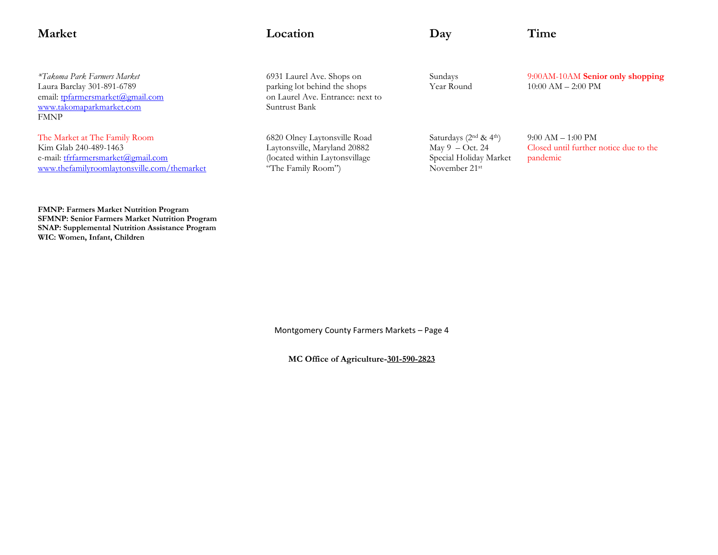| <b>Market</b>                                                                                                                               | Location                                                                                                             | $\bf{D}$ ay                                                                                         | Time                                                                      |
|---------------------------------------------------------------------------------------------------------------------------------------------|----------------------------------------------------------------------------------------------------------------------|-----------------------------------------------------------------------------------------------------|---------------------------------------------------------------------------|
| *Takoma Park Farmers Market<br>Laura Barclay 301-891-6789<br>email: tpfarmersmarket@gmail.com<br>www.takomaparkmarket.com<br><b>FMNP</b>    | 6931 Laurel Ave. Shops on<br>parking lot behind the shops<br>on Laurel Ave. Entrance: next to<br>Suntrust Bank       | Sundays<br>Year Round                                                                               | 9:00AM-10AM Senior only shopping<br>$10:00$ AM $- 2:00$ PM                |
| The Market at The Family Room<br>Kim Glab 240-489-1463<br>e-mail: tfrfarmersmarket@gmail.com<br>www.thefamilyroomlaytonsville.com/themarket | 6820 Olney Laytonsville Road<br>Laytonsville, Maryland 20882<br>(located within Laytonsvillage<br>"The Family Room") | Saturdays $(2nd & 4th)$<br>May $9$ – Oct. 24<br>Special Holiday Market<br>November 21 <sup>st</sup> | $9:00 AM - 1:00 PM$<br>Closed until further notice due to the<br>pandemic |

**FMNP: Farmers Market Nutrition Program SFMNP: Senior Farmers Market Nutrition Program SNAP: Supplemental Nutrition Assistance Program WIC: Women, Infant, Children**

Montgomery County Farmers Markets – Page 4

**MC Office of Agriculture-301-590-2823**